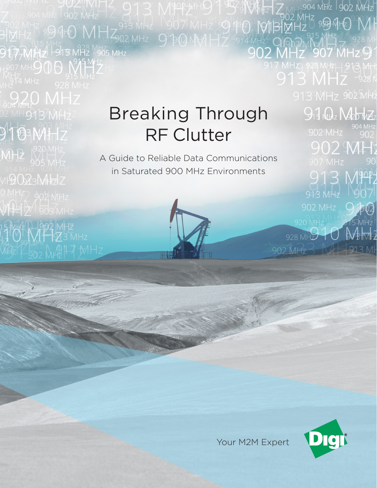# Breaking Through RF Clutter

APOP ATHS THE

302 MHz<br>31MHz 999 MHQ MHz 393 MHz 1907 MHz 99 MHz<br>31MHz 915 MHz 928 MHz 902 MHz 9 PO MV4 Hz 914

**9 1977MHz L915 MH2** M56 MHz

 $9103$  MH  $12$ 

 $MH2$   $^{920}$  MHz

MP2023MHzIZ

**WHEELE** 505 MHZ

 $\frac{1}{2}$  MHz  $\frac{1}{2}$  MHz  $\frac{1}{2}$  MHz

A Guide to Reliable Data Communications in Saturated 900 MHz Environments





904 MHz 902 MHz

<del>\_</del><br>จิกิวิMN 11 - 928 MH<br>IHz 907 MHz91

 $13$  MHz  $-928$  K

917 Que Nobbridas

902 MH

913 MPP2

913 MHz

 $920$  MHz<sup>M</sup>

928 MHZ

902 MHz<sup>2</sup>

90

970

 $215MH<sub>2</sub>$ 

 $\mathcal{N}_{\mathbb{B}}$  M  $_{\mathbb{Z}}$ 

913 MH

୭994±O°NH

Your M2M Expert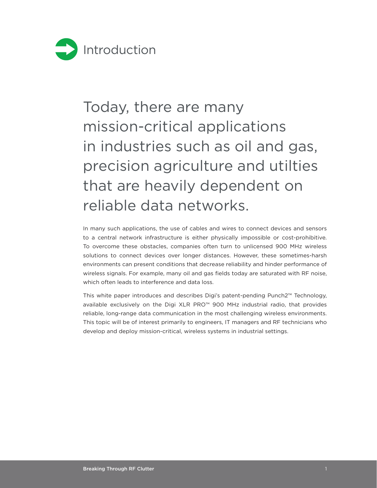

# Today, there are many mission-critical applications in industries such as oil and gas, precision agriculture and utilties that are heavily dependent on reliable data networks.

In many such applications, the use of cables and wires to connect devices and sensors to a central network infrastructure is either physically impossible or cost-prohibitive. To overcome these obstacles, companies often turn to unlicensed 900 MHz wireless solutions to connect devices over longer distances. However, these sometimes-harsh environments can present conditions that decrease reliability and hinder performance of wireless signals. For example, many oil and gas fields today are saturated with RF noise, which often leads to interference and data loss.

This white paper introduces and describes Digi's patent-pending Punch2™ Technology, available exclusively on the Digi XLR PRO™ 900 MHz industrial radio, that provides reliable, long-range data communication in the most challenging wireless environments. This topic will be of interest primarily to engineers, IT managers and RF technicians who develop and deploy mission-critical, wireless systems in industrial settings.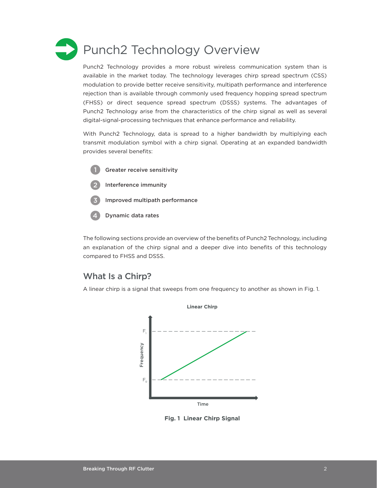

Punch2 Technology provides a more robust wireless communication system than is available in the market today. The technology leverages chirp spread spectrum (CSS) modulation to provide better receive sensitivity, multipath performance and interference rejection than is available through commonly used frequency hopping spread spectrum (FHSS) or direct sequence spread spectrum (DSSS) systems. The advantages of Punch2 Technology arise from the characteristics of the chirp signal as well as several digital-signal-processing techniques that enhance performance and reliability.

With Punch2 Technology, data is spread to a higher bandwidth by multiplying each transmit modulation symbol with a chirp signal. Operating at an expanded bandwidth provides several benefits:

- Greater receive sensitivity 1
- Interference immunity 2
- Improved multipath performance 3
- Dynamic data rates 4

The following sections provide an overview of the benefits of Punch2 Technology, including an explanation of the chirp signal and a deeper dive into benefits of this technology compared to FHSS and DSSS.

#### What Is a Chirp?

A linear chirp is a signal that sweeps from one frequency to another as shown in Fig. 1.



**Fig. 1 Linear Chirp Signal**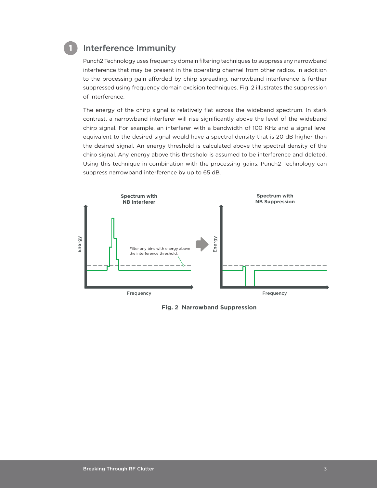

#### Interference Immunity

Punch2 Technology uses frequency domain filtering techniques to suppress any narrowband interference that may be present in the operating channel from other radios. In addition to the processing gain afforded by chirp spreading, narrowband interference is further suppressed using frequency domain excision techniques. Fig. 2 illustrates the suppression of interference.

The energy of the chirp signal is relatively flat across the wideband spectrum. In stark contrast, a narrowband interferer will rise significantly above the level of the wideband chirp signal. For example, an interferer with a bandwidth of 100 KHz and a signal level equivalent to the desired signal would have a spectral density that is 20 dB higher than the desired signal. An energy threshold is calculated above the spectral density of the chirp signal. Any energy above this threshold is assumed to be interference and deleted. Using this technique in combination with the processing gains, Punch2 Technology can suppress narrowband interference by up to 65 dB.



**Fig. 2 Narrowband Suppression**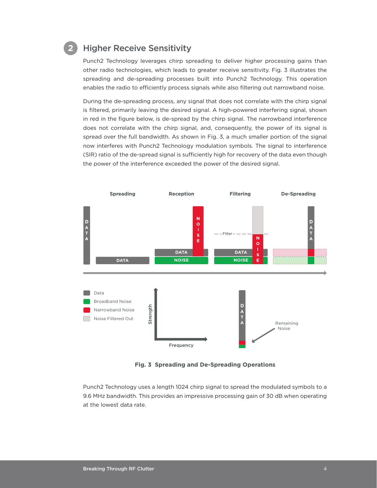### **2**

#### Higher Receive Sensitivity

Punch2 Technology leverages chirp spreading to deliver higher processing gains than other radio technologies, which leads to greater receive sensitivity. Fig. 3 illustrates the spreading and de-spreading processes built into Punch2 Technology. This operation enables the radio to efficiently process signals while also filtering out narrowband noise.

During the de-spreading process, any signal that does not correlate with the chirp signal is filtered, primarily leaving the desired signal. A high-powered interfering signal, shown in red in the figure below, is de-spread by the chirp signal. The narrowband interference does not correlate with the chirp signal, and, consequently, the power of its signal is spread over the full bandwidth. As shown in Fig. 3, a much smaller portion of the signal now interferes with Punch2 Technology modulation symbols. The signal to interference (SIR) ratio of the de-spread signal is sufficiently high for recovery of the data even though the power of the interference exceeded the power of the desired signal.



**Fig. 3 Spreading and De-Spreading Operations**

Punch2 Technology uses a length 1024 chirp signal to spread the modulated symbols to a 9.6 MHz bandwidth. This provides an impressive processing gain of 30 dB when operating at the lowest data rate.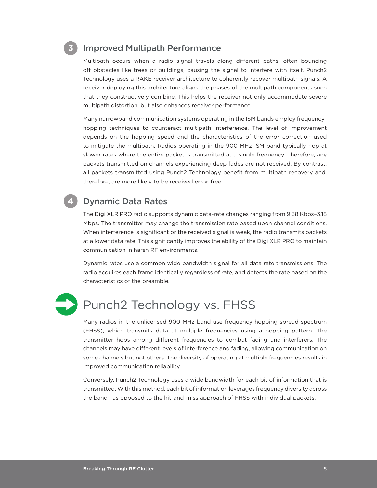### **3**

#### Improved Multipath Performance

Multipath occurs when a radio signal travels along different paths, often bouncing off obstacles like trees or buildings, causing the signal to interfere with itself. Punch2 Technology uses a RAKE receiver architecture to coherently recover multipath signals. A receiver deploying this architecture aligns the phases of the multipath components such that they constructively combine. This helps the receiver not only accommodate severe multipath distortion, but also enhances receiver performance.

Many narrowband communication systems operating in the ISM bands employ frequencyhopping techniques to counteract multipath interference. The level of improvement depends on the hopping speed and the characteristics of the error correction used to mitigate the multipath. Radios operating in the 900 MHz ISM band typically hop at slower rates where the entire packet is transmitted at a single frequency. Therefore, any packets transmitted on channels experiencing deep fades are not received. By contrast, all packets transmitted using Punch2 Technology benefit from multipath recovery and, therefore, are more likely to be received error-free.

#### Dynamic Data Rates

The Digi XLR PRO radio supports dynamic data-rate changes ranging from 9.38 Kbps–3.18 Mbps. The transmitter may change the transmission rate based upon channel conditions. When interference is significant or the received signal is weak, the radio transmits packets at a lower data rate. This significantly improves the ability of the Digi XLR PRO to maintain communication in harsh RF environments.

Dynamic rates use a common wide bandwidth signal for all data rate transmissions. The radio acquires each frame identically regardless of rate, and detects the rate based on the characteristics of the preamble.



**4**

### Punch2 Technology vs. FHSS

Many radios in the unlicensed 900 MHz band use frequency hopping spread spectrum (FHSS), which transmits data at multiple frequencies using a hopping pattern. The transmitter hops among different frequencies to combat fading and interferers. The channels may have different levels of interference and fading, allowing communication on some channels but not others. The diversity of operating at multiple frequencies results in improved communication reliability.

Conversely, Punch2 Technology uses a wide bandwidth for each bit of information that is transmitted. With this method, each bit of information leverages frequency diversity across the band—as opposed to the hit-and-miss approach of FHSS with individual packets.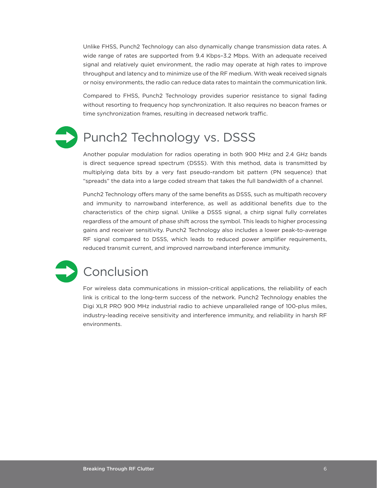Unlike FHSS, Punch2 Technology can also dynamically change transmission data rates. A wide range of rates are supported from 9.4 Kbps–3.2 Mbps. With an adequate received signal and relatively quiet environment, the radio may operate at high rates to improve throughput and latency and to minimize use of the RF medium. With weak received signals or noisy environments, the radio can reduce data rates to maintain the communication link.

Compared to FHSS, Punch2 Technology provides superior resistance to signal fading without resorting to frequency hop synchronization. It also requires no beacon frames or time synchronization frames, resulting in decreased network traffic.

## Punch2 Technology vs. DSSS

Another popular modulation for radios operating in both 900 MHz and 2.4 GHz bands is direct sequence spread spectrum (DSSS). With this method, data is transmitted by multiplying data bits by a very fast pseudo-random bit pattern (PN sequence) that "spreads" the data into a large coded stream that takes the full bandwidth of a channel.

Punch2 Technology offers many of the same benefits as DSSS, such as multipath recovery and immunity to narrowband interference, as well as additional benefits due to the characteristics of the chirp signal. Unlike a DSSS signal, a chirp signal fully correlates regardless of the amount of phase shift across the symbol. This leads to higher processing gains and receiver sensitivity. Punch2 Technology also includes a lower peak-to-average RF signal compared to DSSS, which leads to reduced power amplifier requirements, reduced transmit current, and improved narrowband interference immunity.

# Conclusion

For wireless data communications in mission-critical applications, the reliability of each link is critical to the long-term success of the network. Punch2 Technology enables the Digi XLR PRO 900 MHz industrial radio to achieve unparalleled range of 100-plus miles, industry-leading receive sensitivity and interference immunity, and reliability in harsh RF environments.